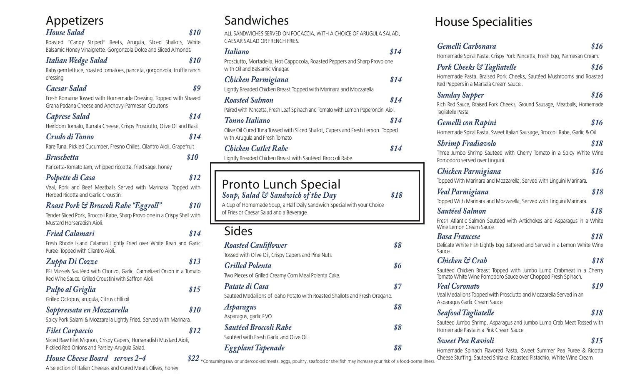| Appetizers                                                                                                                         |              |
|------------------------------------------------------------------------------------------------------------------------------------|--------------|
| <b>House Salad</b>                                                                                                                 | \$10         |
| Roasted "Candy Striped" Beets, Arugula, Sliced Shallots, White<br>Balsamic Honey Vinaigrette. Gorgonzola Dolce and Sliced Almonds. |              |
| <b>Italian Wedge Salad</b>                                                                                                         | \$10         |
| Baby gem lettuce, roasted tomatoes, panceta, gorgonzola, truffle ranch<br>dressing                                                 |              |
| Caesar Salad                                                                                                                       | \$9          |
| Fresh Romaine Tossed with Homemade Dressing, Topped with Shaved<br>Grana Padana Cheese and Anchovy-Parmesan Croutons               |              |
| <b>Caprese Salad</b>                                                                                                               | \$14         |
| Heirloom Tomato, Burrata Cheese, Crispy Prosciutto, Olive Oil and Basil.                                                           |              |
| Crudo di Tonno                                                                                                                     | \$14         |
| Rare Tuna, Pickled Cucumber, Fresno Chilies, Cilantro Aioli, Grapefruit                                                            |              |
| <b>Bruschetta</b>                                                                                                                  | \$10         |
| Pancetta-Tomato Jam, whipped riccotta, fried sage, honey                                                                           |              |
| <b>Polpette di Casa</b>                                                                                                            | \$12         |
| Veal, Pork and Beef Meatballs Served with Marinara. Topped with<br>Herbed Ricotta and Garlic Croustini.                            |              |
| <b>Roast Pork &amp; Broccoli Rabe "Eggroll"</b>                                                                                    | <i>\$10</i>  |
| Tender Sliced Pork, Broccoli Rabe, Sharp Provolone in a Crispy Shell with<br>Mustard Horseradish Aioli.                            |              |
| <b>Fried Calamari</b>                                                                                                              | \$14         |
| Fresh Rhode Island Calamari Lightly Fried over White Bean and Garlic<br>Puree. Topped with Cilantro Aioli.                         |              |
| Zuppa Di Cozze                                                                                                                     | \$13         |
| PEI Mussels Sautéed with Chorizo, Garlic, Carmelized Onion in a Tomato<br>Red Wine Sauce. Grilled Croustini with Saffron Aioli.    |              |
| Pulpo al Griglia                                                                                                                   | \$15         |
| Grilled Octopus, arugula, Citrus chilli oil                                                                                        |              |
| Soppressata en Mozzarella                                                                                                          | \$10         |
| Spicy Pork Salami & Mozzarella Lightly Fried. Served with Marinara.                                                                |              |
| <b>Filet Carpaccio</b>                                                                                                             | \$12         |
| Sliced Raw Filet Mignon, Crispy Capers, Horseradish Mustard Aioli,<br>Pickled Red Onions and Parsley-Arugula Salad.                |              |
| <b>House Cheese Board</b> serves 2-4                                                                                               | $$22*_{Cor}$ |
| A Selection of Italian Cheeses and Cured Meats, Olives, honey                                                                      |              |

ALL SANDWICHES SERVED ON FOCACCIA, WITH A CHOICE OF ARUGULA SALAD, CAESAR SALAD OR FRENCH FRIES.

*Italiano \$14*  Prosciutto, Mortadella, Hot Cappocola, Roasted Peppers and Sharp Provolone with Oil and Balsamic Vinegar. *Chicken Parmigiana \$14* Lightly Breaded Chicken Breast Topped with Marinara and Mozzarella *Roasted Salmon \$14* Paired with Pancetta, Fresh Leaf Spinach and Tomato with Lemon Peperoncini Aioli. *Tonno Italiano \$14*  Olive Oil Cured Tuna Tossed with Sliced Shallot, Capers and Fresh Lemon. Topped with Arugula and Fresh Tomato *Chicken Cutlet Rabe \$14* Lightly Breaded Chicken Breast with Sautéed Broccoli Rabe.

## Pronto Lunch Special *Soup, Salad & Sandwich of the Day \$18*

A Cup of Homemade Soup, a Half Daily Sandwich Special with your Choice of Fries or Caesar Salad and a Beverage.

# Sides

| <b>Roasted Cauliflower</b>                                                  | \$8 |
|-----------------------------------------------------------------------------|-----|
| Tossed with Olive Oil, Crispy Capers and Pine Nuts.                         |     |
| <b>Grilled Polenta</b>                                                      | \$6 |
| Two Pleces of Grilled Creamy Corn Meal Polenta Cake.                        |     |
| Patate di Casa                                                              | \$7 |
| Sautéed Medallions of Idaho Potato with Roasted Shallots and Fresh Oregano. |     |
| <b>Asparagus</b>                                                            | \$8 |
| Asparagus, garlic EVO.                                                      |     |
| <b>Sautéed Broccoli Rabe</b>                                                | \$8 |
| Sautéed with Fresh Garlic and Olive Oil.                                    |     |
| <b>Eggplant Tapenade</b>                                                    | 88  |

## nsuming raw or undercooked meats, eggs, poultry, seafood or shellfish may increase your risk of a food-borne illness.

Sandwiches **Exercise Specialities** House Specialities

| Gemelli Carbonara                                                                                                                           | \$16 |
|---------------------------------------------------------------------------------------------------------------------------------------------|------|
| Homemade Spiral Pasta, Crispy Pork Pancetta, Fresh Egg, Parmesan Cream.                                                                     |      |
| <b>Pork Cheeks &amp; Tagliatelle</b>                                                                                                        | \$16 |
| Homemade Pasta, Braised Pork Cheeks, Sautéed Mushrooms and Roasted<br>Red Peppers in a Marsala Cream Sauce                                  |      |
| <b>Sunday Supper</b>                                                                                                                        | \$16 |
| Rich Red Sauce, Braised Pork Cheeks, Ground Sausage, Meatballs, Homemade<br>Tagliatelle Pasta                                               |      |
| <b>Gemelli</b> con Rapini                                                                                                                   | \$16 |
| Homemade Spiral Pasta, Sweet Italian Sausage, Broccoli Rabe, Garlic & Oil                                                                   |      |
| <b>Shrimp Fradiavolo</b>                                                                                                                    | \$18 |
| Three Jumbo Shrimp Sautéed with Cherry Tomato in a Spicy White Wine<br>Pomodoro served over Linguini.                                       |      |
| Chicken Parmigiana                                                                                                                          | \$16 |
| Topped With Marinara and Mozzarella, Served with Linguini Marinara.                                                                         |      |
| Veal Parmigiana                                                                                                                             | \$18 |
| Topped With Marinara and Mozzarella, Served with Linguini Marinara.                                                                         |      |
| <b>Sautéed Salmon</b>                                                                                                                       | \$18 |
| Fresh Atlantic Salmon Sautéed with Artichokes and Asparagus in a White<br>Wine Lemon Cream Sauce.                                           |      |
| <b>Basa Francese</b>                                                                                                                        | \$18 |
| Delicate White Fish Lightly Egg Battered and Served in a Lemon White Wine<br>Sauce.                                                         |      |
| Chicken & Crab                                                                                                                              | \$18 |
| Sautéed Chicken Breast Topped with Jumbo Lump Crabmeat in a Cherry<br>Tomato White Wine Pomodoro Sauce over Chopped Fresh Spinach.          |      |
| <b>Veal Coronato</b>                                                                                                                        | \$19 |
| Veal Medallions Topped with Prosciutto and Mozzarella Served in an<br>Asparagus Garlic Cream Sauce.                                         |      |
| <b>Seafood Tagliatelle</b>                                                                                                                  | \$18 |
| Sautéed Jumbo Shrimp, Asparagus and Jumbo Lump Crab Meat Tossed with<br>Homemade Pasta in a Pink Cream Sauce.                               |      |
| <b>Sweet Pea Ravioli</b>                                                                                                                    | \$15 |
| Homemade Spinach Flavored Pasta, Sweet Summer Pea Puree & Ricotta<br>Cheese Stuffing, Sauteed Shitake, Roasted Pistachio, White Wine Cream. |      |